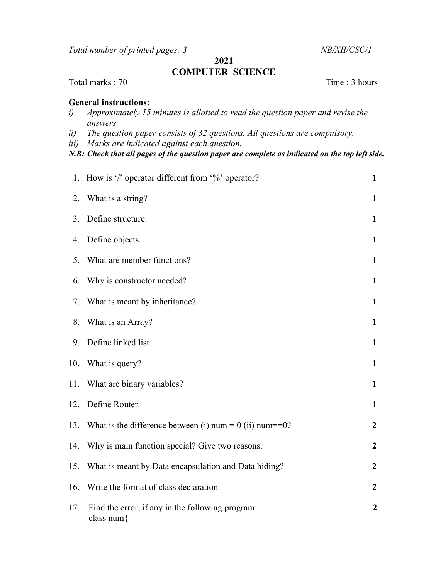Total number of printed pages: 3 NB/XII/CSC/1

2021

## COMPUTER SCIENCE

## Total marks : 70 Time : 3 hours

## General instructions:

- i) Approximately 15 minutes is allotted to read the question paper and revise the answers.
- ii) The question paper consists of 32 questions. All questions are compulsory.
- iii) Marks are indicated against each question.
- N.B: Check that all pages of the question paper are complete as indicated on the top left side.

|     | 1. How is '/' operator different from '%' operator?                | $\mathbf{1}$     |
|-----|--------------------------------------------------------------------|------------------|
| 2.  | What is a string?                                                  | $\mathbf{1}$     |
| 3.  | Define structure.                                                  | $\mathbf{1}$     |
| 4.  | Define objects.                                                    | $\mathbf{1}$     |
| 5.  | What are member functions?                                         | $\mathbf{1}$     |
| 6.  | Why is constructor needed?                                         | $\mathbf{1}$     |
| 7.  | What is meant by inheritance?                                      | $\mathbf{1}$     |
| 8.  | What is an Array?                                                  | $\mathbf{1}$     |
| 9.  | Define linked list.                                                | $\mathbf{1}$     |
| 10. | What is query?                                                     | $\mathbf{1}$     |
| 11. | What are binary variables?                                         | $\mathbf{1}$     |
| 12. | Define Router.                                                     | $\mathbf{1}$     |
| 13. | What is the difference between (i) num = $0$ (ii) num = $=$ 0?     | $\boldsymbol{2}$ |
| 14. | Why is main function special? Give two reasons.                    | $\boldsymbol{2}$ |
| 15. | What is meant by Data encapsulation and Data hiding?               | $\boldsymbol{2}$ |
| 16. | Write the format of class declaration.                             | $\boldsymbol{2}$ |
| 17. | Find the error, if any in the following program:<br>class num $\{$ | $\boldsymbol{2}$ |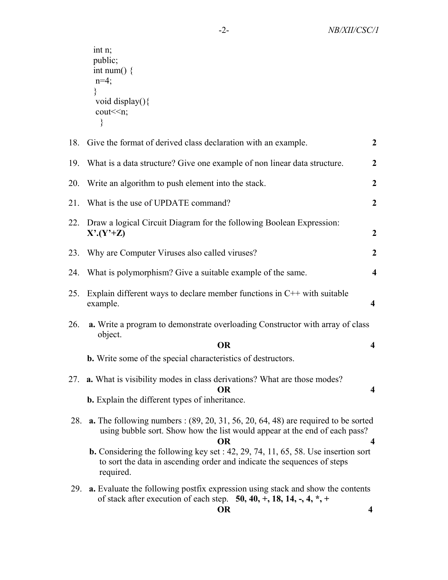int n; public; int num()  $\{$  $n=4;$  } void display() $\{$  $\text{cout} \leq n$ ; }

| 18. | Give the format of derived class declaration with an example.                                                                                                                                      | $\boldsymbol{2}$        |
|-----|----------------------------------------------------------------------------------------------------------------------------------------------------------------------------------------------------|-------------------------|
| 19. | What is a data structure? Give one example of non linear data structure.                                                                                                                           | $\boldsymbol{2}$        |
| 20. | Write an algorithm to push element into the stack.                                                                                                                                                 | $\overline{2}$          |
| 21. | What is the use of UPDATE command?                                                                                                                                                                 | $\overline{2}$          |
| 22. | Draw a logical Circuit Diagram for the following Boolean Expression:<br>$X^{\prime}$ $(Y^{\prime}+Z)$                                                                                              | $\boldsymbol{2}$        |
| 23. | Why are Computer Viruses also called viruses?                                                                                                                                                      | $\boldsymbol{2}$        |
| 24. | What is polymorphism? Give a suitable example of the same.                                                                                                                                         | $\overline{\mathbf{4}}$ |
| 25. | Explain different ways to declare member functions in $C++$ with suitable<br>example.                                                                                                              | $\overline{\mathbf{4}}$ |
| 26. | a. Write a program to demonstrate overloading Constructor with array of class<br>object.<br><b>OR</b>                                                                                              | $\overline{\mathbf{4}}$ |
|     | b. Write some of the special characteristics of destructors.                                                                                                                                       |                         |
| 27. | a. What is visibility modes in class derivations? What are those modes?<br>OR.<br><b>b.</b> Explain the different types of inheritance.                                                            | 4                       |
| 28. | <b>a.</b> The following numbers : $(89, 20, 31, 56, 20, 64, 48)$ are required to be sorted<br>using bubble sort. Show how the list would appear at the end of each pass?<br><b>OR</b>              | 4                       |
|     | <b>b.</b> Considering the following key set : $42$ , $29$ , $74$ , $11$ , $65$ , $58$ . Use insertion sort<br>to sort the data in ascending order and indicate the sequences of steps<br>required. |                         |
| 29. | a. Evaluate the following postfix expression using stack and show the contents<br>of stack after execution of each step. $50, 40, +, 18, 14, -, 4, *, +$<br><b>OR</b>                              | $\overline{\mathbf{4}}$ |